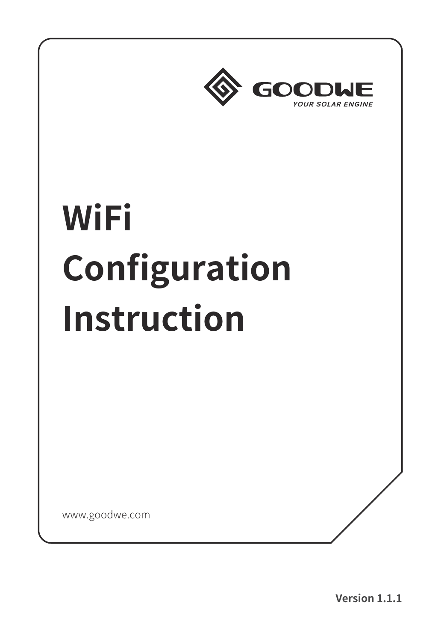

# **WiFi Configuration Instruction**

www.goodwe.com

**Version 1.1.1**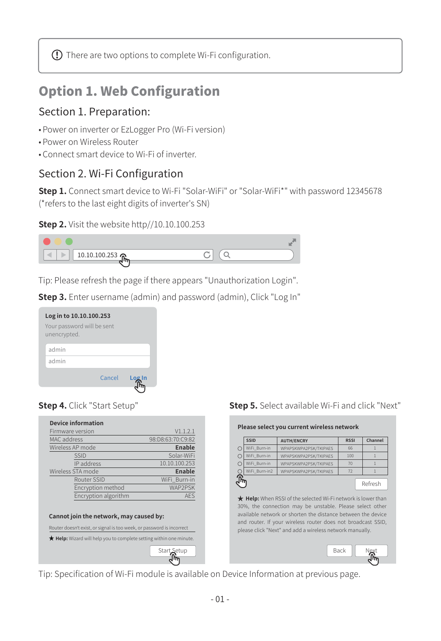$\Omega$  There are two options to complete Wi-Fi configuration.

## Option 1. Web Configuration

#### Section 1. Preparation:

- Power on inverter or EzLogger Pro (Wi-Fi version)
- Power on Wireless Router
- Connect smart device to Wi-Fi of inverter.

#### Section 2. Wi-Fi Configuration

**Step 1.** Connect smart device to Wi-Fi "Solar-WiFi" or "Solar-WiFi\*" with password 12345678 (\*refers to the last eight digits of inverter's SN)





Tip: Please refresh the page if there appears "Unauthorization Login".

**Step 3.** Enter username (admin) and password (admin), Click "Log In"





| Device information                                                                                               |                   |  |  |
|------------------------------------------------------------------------------------------------------------------|-------------------|--|--|
| Firmware version                                                                                                 | V1.1.2.1          |  |  |
| MAC address                                                                                                      | 98:D8:63:70:C9:82 |  |  |
| Wireless AP mode                                                                                                 | Enable            |  |  |
| <b>SSID</b>                                                                                                      | Solar-WiFi        |  |  |
| IP address                                                                                                       | 10.10.100.253     |  |  |
| Wireless STA mode                                                                                                | Enable            |  |  |
| Router SSID                                                                                                      | WiFi Burn-in      |  |  |
| Encryption method                                                                                                | WAP2PSK           |  |  |
| Encryption algorithm                                                                                             | <b>AES</b>        |  |  |
| Cannot join the network, may caused by:<br>Router doesn't exist, or signal is too week, or password is incorrect |                   |  |  |
| ★ Help: Wizard will help you to complete setting within one minute.                                              |                   |  |  |
|                                                                                                                  | Start Setup       |  |  |
|                                                                                                                  |                   |  |  |

**Step 5.** Select available Wi-Fi and click "Next"

#### **Please select you current wireless network**

|         | <b>SSID</b>   | <b>AUTH/ENCRY</b>                                                                                                                                                                                                                                    | <b>RSSI</b> | Channel |
|---------|---------------|------------------------------------------------------------------------------------------------------------------------------------------------------------------------------------------------------------------------------------------------------|-------------|---------|
| $\circ$ | WiFi Burn-in  | WPAPSKWPA2PSK/TKIPAES                                                                                                                                                                                                                                | 66          | ı       |
| $\circ$ | WiFi Burn-in  | WPAPSKWPA2PSK/TKIPAES                                                                                                                                                                                                                                | 100         | ı       |
| $\circ$ | WiFi Burn-in  | WPAPSKWPA2PSK/TKIPAES                                                                                                                                                                                                                                | 70          | ı       |
| $\circ$ | WiFi Burn-in2 | WPAPSKWPA2PSK/TKIPAES                                                                                                                                                                                                                                | 72          |         |
|         |               | ★ Help: When RSSI of the selected Wi-Fi network is lower than                                                                                                                                                                                        |             | Refresh |
|         |               | 30%, the connection may be unstable. Please select other<br>available network or shorten the distance between the device<br>and router. If your wireless router does not broadcast SSID,<br>please click "Next" and add a wireless network manually. |             |         |

Tip: Specification of Wi-Fi module is available on Device Information at previous page.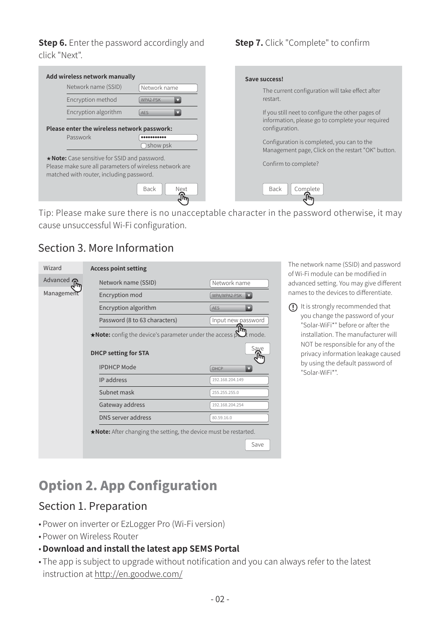**Step 6.** Enter the password accordingly and click "Next".



Tip: Please make sure there is no unacceptable character in the password otherwise, it may cause unsuccessful Wi-Fi configuration.

#### Section 3. More Information



The network name (SSID) and password of Wi-Fi module can be modified in advanced setting. You may give different names to the devices to differentiate.

 $\bigcap$  It is strongly recommended that you change the password of your "Solar-WiFi\*" before or after the installation. The manufacturer will NOT be responsible for any of the privacy information leakage caused by using the default password of "Solar-WiFi\*".

# Option 2. App Configuration

### Section 1. Preparation

- Power on inverter or EzLogger Pro (Wi-Fi version)
- Power on Wireless Router
- **Download and install the latest app SEMS Portal**
- The app is subject to upgrade without notification and you can always refer to the latest instruction at http://en.goodwe.com/

#### **Step 7.** Click "Complete" to confirm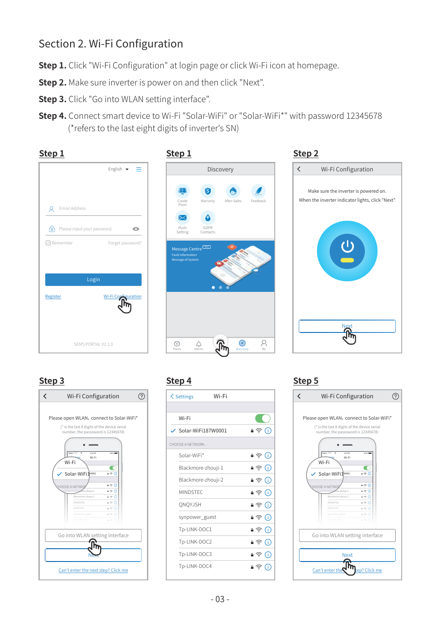#### Section 2. Wi-Fi Configuration

- **Step 1.** Click "Wi-Fi Configuration" at login page or click Wi-Fi icon at homepage.
- **Step 2.** Make sure inverter is power on and then click "Next".
- **Step 3.** Click "Go into WLAN setting interface".
- **Step 4.** Connect smart device to Wi-Fi "Solar-WiFi" or "Solar-WiFi\*" with password 12345678 (\*refers to the last eight digits of inverter's SN)



#### **Step 3 Step 4 Step 5**



| <b>くSettings</b>                | Wi-Fi |         |
|---------------------------------|-------|---------|
|                                 |       |         |
| Wi-Fi                           |       |         |
| $\checkmark$ Solar-WiFi187W0001 |       | • ೯ (i) |
| CHOOSE A NETWORK                |       |         |
| Solar-WiFi*                     |       | • ೯ (i) |
| Blackmore-zhouji-1              |       | •ຈ0     |
| Blackmore-zhouji-2              |       | •ຈ0     |
| <b>MINDSTEC</b>                 |       | •ຈ⊙     |
| ONOYJSH                         |       | • ଛ ⊕   |
| synpower guest                  |       | •ຈດ     |
| Tp-LINK-DOC1                    |       | •ຈ⊙     |
| Tp-LINK-DOC2                    |       | •೯⊙     |
| Tp-LINK-DOC3                    |       | •ຈ∩     |
| Tp-LINK-DOC4                    |       | •ຈດ     |

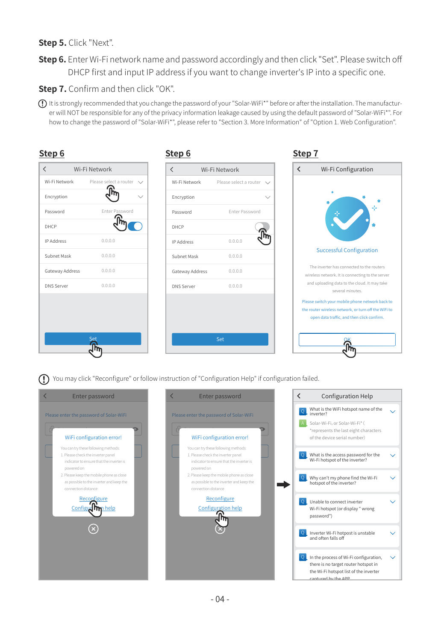#### **Step 5.** Click "Next".

**Step 6.** Enter Wi-Fi network name and password accordingly and then click "Set". Please switch off DHCP first and input IP address if you want to change inverter's IP into a specific one.

#### **Step 7.** Confirm and then click "OK".

**Reconfigure** √մնի

connection distance

It is strongly recommended that you change the password of your "Solar-WiFi\*" before or after the installation. The manufacturer will NOT be responsible for any of the privacy information leakage caused by using the default password of "Solar-WiFi\*". For how to change the password of "Solar-WiFi\*", please refer to "Section 3. More Information" of "Option 1. Web Configuration".

| Step 6                                                                                   |                                                                                      | Step 6                                                                                             |                                                                                                                        | Step 7                                                                            |                                                                                               |
|------------------------------------------------------------------------------------------|--------------------------------------------------------------------------------------|----------------------------------------------------------------------------------------------------|------------------------------------------------------------------------------------------------------------------------|-----------------------------------------------------------------------------------|-----------------------------------------------------------------------------------------------|
| $\langle$                                                                                | Wi-Fi Network                                                                        | $\langle$                                                                                          | Wi-Fi Network                                                                                                          | $\overline{\phantom{0}}$                                                          | Wi-Fi Configuration                                                                           |
| Wi-Fi Network                                                                            | Please select a router<br>$\checkmark$                                               | Wi-Fi Network                                                                                      | Please select a router<br>$\sim$                                                                                       |                                                                                   |                                                                                               |
| Encryption                                                                               |                                                                                      | Encryption                                                                                         |                                                                                                                        |                                                                                   |                                                                                               |
| Password                                                                                 | Enter Password                                                                       | Password                                                                                           | Enter Password                                                                                                         |                                                                                   |                                                                                               |
| DHCP                                                                                     |                                                                                      | DHCP                                                                                               |                                                                                                                        |                                                                                   |                                                                                               |
| <b>IP Address</b>                                                                        | 0.0.0.0                                                                              | IP Address                                                                                         | 0.0.0.0                                                                                                                |                                                                                   |                                                                                               |
| Subnet Mask                                                                              | 0.0.0.0                                                                              | Subnet Mask                                                                                        | 0.0.0.0                                                                                                                |                                                                                   | <b>Successful Configuration</b>                                                               |
| Gateway Address                                                                          | 0.0.0.0                                                                              | Gateway Address                                                                                    | 0.0.0.0                                                                                                                |                                                                                   | The inverter has connected to the routers<br>wireless network. It is connecting to the server |
| <b>DNS Server</b>                                                                        | 0.0.0.0                                                                              | <b>DNS Server</b>                                                                                  | 0.0.0.0                                                                                                                |                                                                                   | and uploading data to the cloud. It may take<br>several minutes.                              |
|                                                                                          |                                                                                      | You may click "Reconfigure" or follow instruction of "Configuration Help" if configuration failed. | Set                                                                                                                    |                                                                                   |                                                                                               |
|                                                                                          | Enter password                                                                       | $\overline{\left\langle \right\rangle }$                                                           | Enter password                                                                                                         | $\overline{\left( \right. }%$                                                     | Configuration Help                                                                            |
| Please enter the password of Solar-WiFi                                                  |                                                                                      | Please enter the password of Solar-WiFi                                                            |                                                                                                                        | Q.<br>inverter?                                                                   | What is the WiFi hotspot name of the                                                          |
|                                                                                          | WiFi configuration error!                                                            |                                                                                                    | WiFi configuration error!                                                                                              | Solar-Wi-Fi, or Solar-Wi-Fi* (<br>of the device serial number)                    | *represents the last eight characters                                                         |
| You can try these following methods:<br>1. Please check the inverter panel<br>powered on | indicator to ensure that the inverter is                                             | powered on                                                                                         | You can try these following methods:<br>1. Please check the inverter panel<br>indicator to ensure that the inverter is | What is the access password for the<br>$\Omega$<br>Wi-Fi hotspot of the inverter? |                                                                                               |
|                                                                                          | 2. Please keep the mobile phone as close<br>as possible to the inverter and keep the |                                                                                                    | 2. Please keep the mobile phone as close<br>as possible to the inverter and keep the                                   | Why can't my phone find the Wi-Fi<br>$\circ$<br>hotspot of the inverter?          |                                                                                               |

Reconfigure Configuration help

Q Inverter Wi-Fi hotpost is unstable and often falls off

Ċ.

k.

Q In the process of Wi-Fi configuration, there is no target router hotspot in the Wi-Fi hotspot list of the inverter captured by the APP.

Q Unable to connect inverter Wi-Fi hotspot (or display " wrong

password")

connection distance